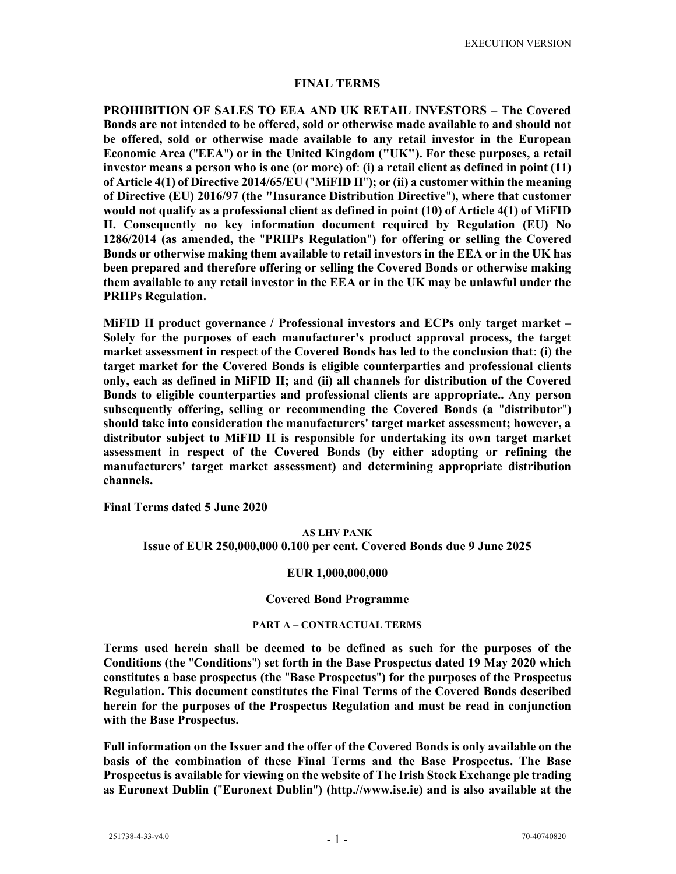### FINAL TERMS

PROHIBITION OF SALES TO EEA AND UK RETAIL INVESTORS – The Covered Bonds are not intended to be offered, sold or otherwise made available to and should not be offered, sold or otherwise made available to any retail investor in the European Economic Area ("EEA") or in the United Kingdom ("UK"). For these purposes, a retail investor means a person who is one (or more) of: (i) a retail client as defined in point (11) of Article 4(1) of Directive 2014/65/EU ("MiFID II"); or (ii) a customer within the meaning of Directive (EU) 2016/97 (the "Insurance Distribution Directive"), where that customer would not qualify as a professional client as defined in point (10) of Article 4(1) of MiFID II. Consequently no key information document required by Regulation (EU) No 1286/2014 (as amended, the "PRIIPs Regulation") for offering or selling the Covered Bonds or otherwise making them available to retail investors in the EEA or in the UK has been prepared and therefore offering or selling the Covered Bonds or otherwise making them available to any retail investor in the EEA or in the UK may be unlawful under the PRIIPs Regulation.

MiFID II product governance / Professional investors and ECPs only target market – Solely for the purposes of each manufacturer's product approval process, the target market assessment in respect of the Covered Bonds has led to the conclusion that: (i) the target market for the Covered Bonds is eligible counterparties and professional clients only, each as defined in MiFID II; and (ii) all channels for distribution of the Covered Bonds to eligible counterparties and professional clients are appropriate.. Any person subsequently offering, selling or recommending the Covered Bonds (a "distributor") should take into consideration the manufacturers' target market assessment; however, a distributor subject to MiFID II is responsible for undertaking its own target market assessment in respect of the Covered Bonds (by either adopting or refining the manufacturers' target market assessment) and determining appropriate distribution channels.

Final Terms dated 5 June 2020

## AS LHV PANK Issue of EUR 250,000,000 0.100 per cent. Covered Bonds due 9 June 2025

## EUR 1,000,000,000

#### Covered Bond Programme

### PART A – CONTRACTUAL TERMS

Terms used herein shall be deemed to be defined as such for the purposes of the Conditions (the "Conditions") set forth in the Base Prospectus dated 19 May 2020 which constitutes a base prospectus (the "Base Prospectus") for the purposes of the Prospectus Regulation. This document constitutes the Final Terms of the Covered Bonds described herein for the purposes of the Prospectus Regulation and must be read in conjunction with the Base Prospectus.

Full information on the Issuer and the offer of the Covered Bonds is only available on the basis of the combination of these Final Terms and the Base Prospectus. The Base Prospectus is available for viewing on the website of The Irish Stock Exchange plc trading as Euronext Dublin ("Euronext Dublin") (http.//www.ise.ie) and is also available at the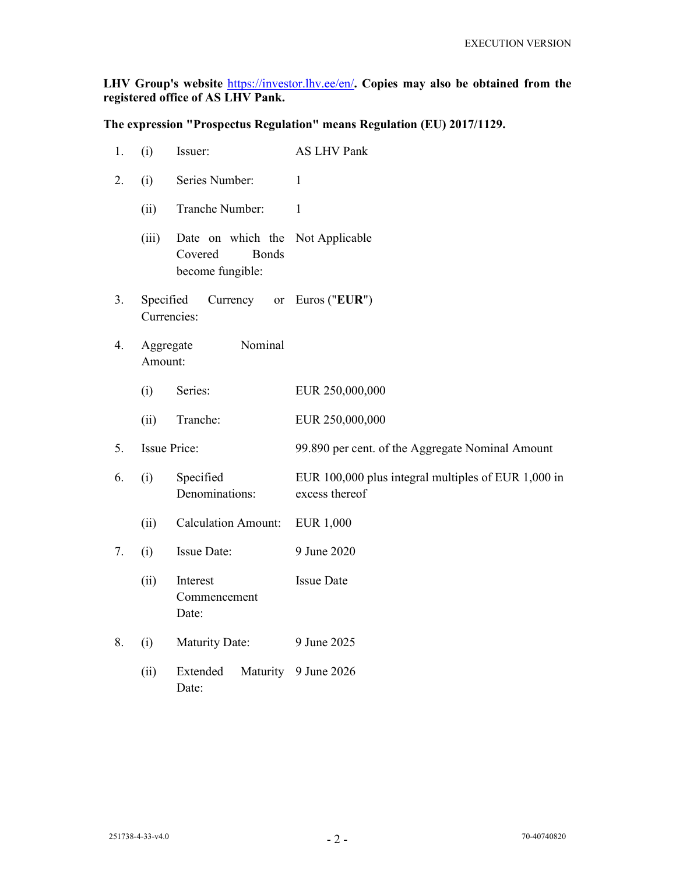## LHV Group's website https://investor.lhv.ee/en/. Copies may also be obtained from the registered office of AS LHV Pank.

The expression "Prospectus Regulation" means Regulation (EU) 2017/1129.

| 1. | (i)                                | Issuer:                                                                         | <b>AS LHV Pank</b>                                                    |
|----|------------------------------------|---------------------------------------------------------------------------------|-----------------------------------------------------------------------|
| 2. | (i)                                | Series Number:                                                                  | $\mathbf{1}$                                                          |
|    | (ii)                               | Tranche Number:                                                                 | $\mathbf{1}$                                                          |
|    | (iii)                              | Date on which the Not Applicable<br><b>Bonds</b><br>Covered<br>become fungible: |                                                                       |
| 3. | Specified<br>Currencies:           | Currency                                                                        | or Euros (" $EUR$ ")                                                  |
| 4. | Nominal<br>Aggregate<br>Amount:    |                                                                                 |                                                                       |
|    | (i)                                | Series:                                                                         | EUR 250,000,000                                                       |
|    | (ii)                               | Tranche:                                                                        | EUR 250,000,000                                                       |
| 5. | <b>Issue Price:</b>                |                                                                                 | 99.890 per cent. of the Aggregate Nominal Amount                      |
| 6. | Specified<br>(i)<br>Denominations: |                                                                                 | EUR 100,000 plus integral multiples of EUR 1,000 in<br>excess thereof |
|    | (ii)                               | <b>Calculation Amount:</b>                                                      | <b>EUR 1,000</b>                                                      |
| 7. | (i)                                | Issue Date:                                                                     | 9 June 2020                                                           |
|    | (ii)                               | Interest<br>Commencement<br>Date:                                               | <b>Issue Date</b>                                                     |
| 8. | (i)                                | <b>Maturity Date:</b>                                                           | 9 June 2025                                                           |
|    | (ii)                               | Extended<br>Maturity<br>Date:                                                   | 9 June 2026                                                           |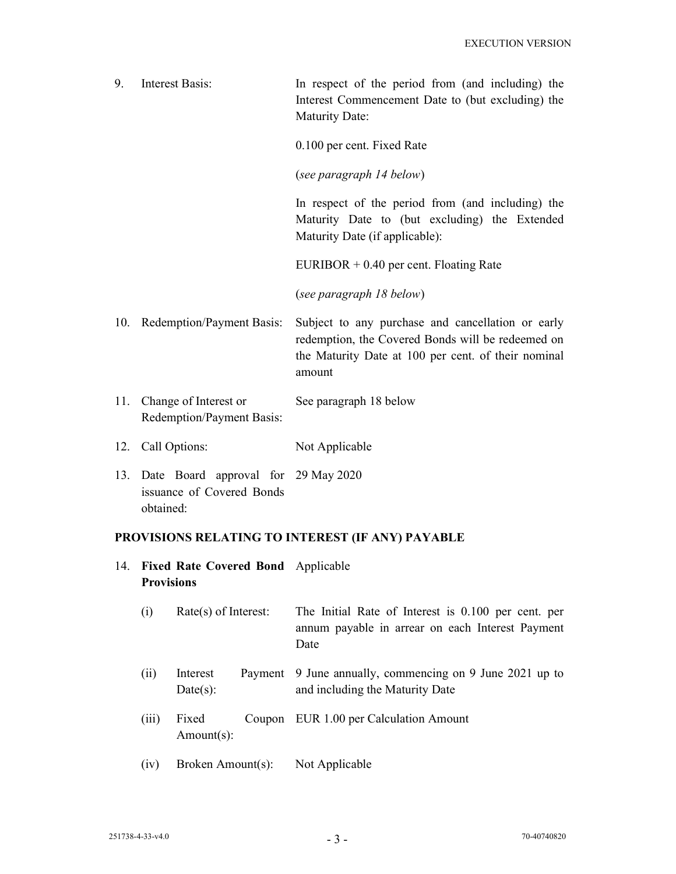| 9. | Interest Basis: | In respect of the period from (and including) the<br>Interest Commencement Date to (but excluding) the<br><b>Maturity Date:</b>      |
|----|-----------------|--------------------------------------------------------------------------------------------------------------------------------------|
|    |                 | 0.100 per cent. Fixed Rate                                                                                                           |
|    |                 | (see paragraph 14 below)                                                                                                             |
|    |                 | In respect of the period from (and including) the<br>Maturity Date to (but excluding) the Extended<br>Maturity Date (if applicable): |
|    |                 | $EURIBOR + 0.40$ per cent. Floating Rate                                                                                             |

(see paragraph 18 below)

- 10. Redemption/Payment Basis: Subject to any purchase and cancellation or early redemption, the Covered Bonds will be redeemed on the Maturity Date at 100 per cent. of their nominal amount
- 11. Change of Interest or Redemption/Payment Basis: See paragraph 18 below
- 12. Call Options: Not Applicable
- 13. Date Board approval for 29 May 2020 issuance of Covered Bonds obtained:

## PROVISIONS RELATING TO INTEREST (IF ANY) PAYABLE

- 14. Fixed Rate Covered Bond Applicable **Provisions** 
	- (i) Rate(s) of Interest: The Initial Rate of Interest is 0.100 per cent. per annum payable in arrear on each Interest Payment Date
	- (ii) Interest Payment  $Date(s)$ : 9 June annually, commencing on 9 June 2021 up to and including the Maturity Date
- (iii) Fixed Coupon EUR 1.00 per Calculation Amount Amount(s):
	- (iv) Broken Amount(s): Not Applicable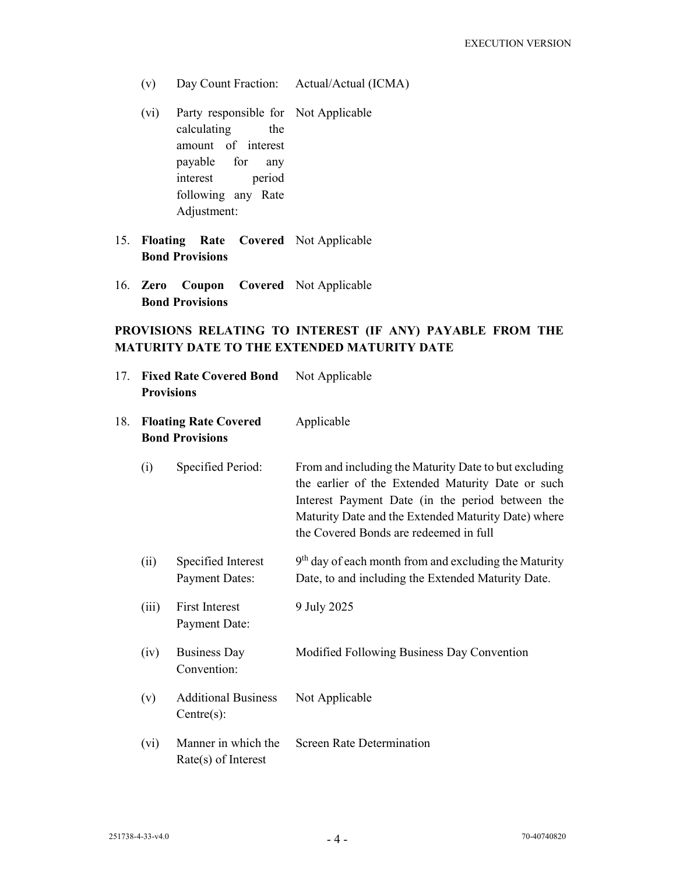- (v) Day Count Fraction: Actual/Actual (ICMA)
- (vi) Party responsible for Not Applicable calculating the amount of interest payable for any interest period following any Rate Adjustment:
- 15. Floating Rate Covered Not Applicable Bond Provisions
- 16. Zero Coupon Covered Not Applicable Bond Provisions

# PROVISIONS RELATING TO INTEREST (IF ANY) PAYABLE FROM THE MATURITY DATE TO THE EXTENDED MATURITY DATE

| 17. | <b>Provisions</b> | <b>Fixed Rate Covered Bond</b>                         | Not Applicable<br>Applicable                                                                                                                                                                                                                                    |  |  |
|-----|-------------------|--------------------------------------------------------|-----------------------------------------------------------------------------------------------------------------------------------------------------------------------------------------------------------------------------------------------------------------|--|--|
| 18. |                   | <b>Floating Rate Covered</b><br><b>Bond Provisions</b> |                                                                                                                                                                                                                                                                 |  |  |
|     | (i)               | Specified Period:                                      | From and including the Maturity Date to but excluding<br>the earlier of the Extended Maturity Date or such<br>Interest Payment Date (in the period between the<br>Maturity Date and the Extended Maturity Date) where<br>the Covered Bonds are redeemed in full |  |  |
|     | (ii)              | Specified Interest<br><b>Payment Dates:</b>            | $9th$ day of each month from and excluding the Maturity<br>Date, to and including the Extended Maturity Date.                                                                                                                                                   |  |  |
|     | (iii)             | <b>First Interest</b><br>Payment Date:                 | 9 July 2025                                                                                                                                                                                                                                                     |  |  |
|     | (iv)              | <b>Business Day</b><br>Convention:                     | Modified Following Business Day Convention                                                                                                                                                                                                                      |  |  |
|     | (v)               | <b>Additional Business</b><br>Centre(s):               | Not Applicable                                                                                                                                                                                                                                                  |  |  |
|     | (vi)              | Manner in which the<br>Rate(s) of Interest             | Screen Rate Determination                                                                                                                                                                                                                                       |  |  |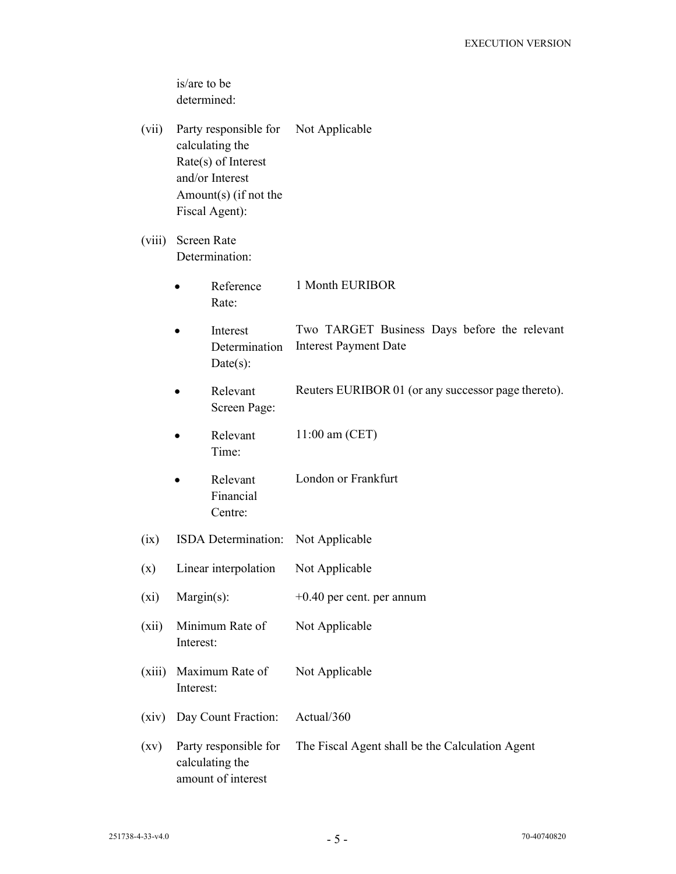is/are to be determined:

- (vii) Party responsible for calculating the Rate(s) of Interest and/or Interest Amount(s) (if not the Fiscal Agent): Not Applicable
- (viii) Screen Rate Determination:
	- Reference Rate: 1 Month EURIBOR
	- Interest Determination  $Date(s)$ : Two TARGET Business Days before the relevant Interest Payment Date
	- Relevant Screen Page: Reuters EURIBOR 01 (or any successor page thereto).
	- Relevant Time: 11:00 am (CET)
	- Relevant Financial Centre: London or Frankfurt
- (ix) ISDA Determination: Not Applicable
- (x) Linear interpolation Not Applicable
- (xi) Margin(s):  $+0.40$  per cent. per annum
- (xii) Minimum Rate of Interest: Not Applicable
- (xiii) Maximum Rate of Interest: Not Applicable
- (xiv) Day Count Fraction: Actual/360
- (xv) Party responsible for calculating the amount of interest The Fiscal Agent shall be the Calculation Agent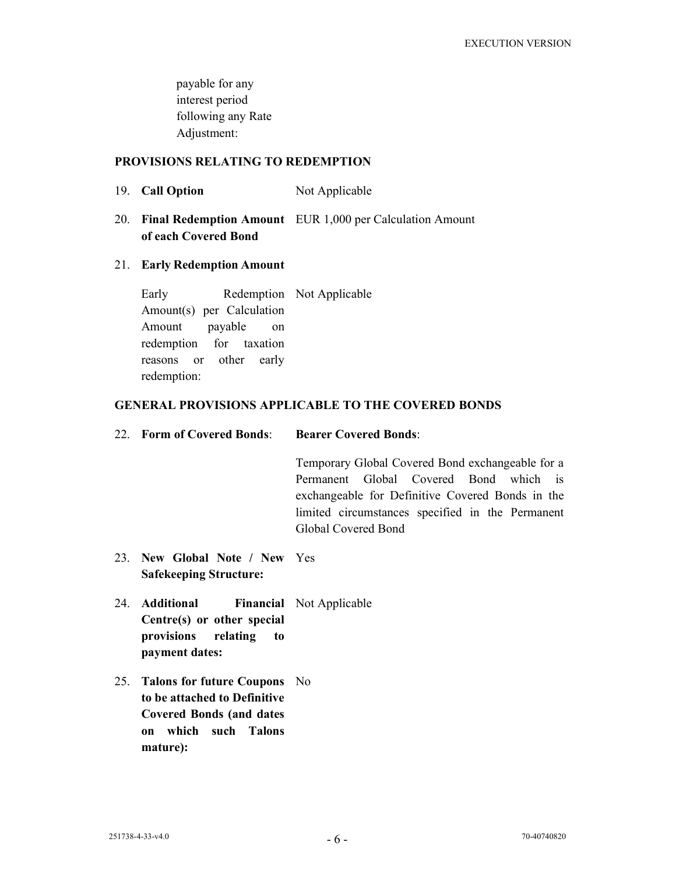payable for any interest period following any Rate Adjustment:

## PROVISIONS RELATING TO REDEMPTION

- 19. Call Option Not Applicable
- 20. Final Redemption Amount EUR 1,000 per Calculation Amount of each Covered Bond

## 21. Early Redemption Amount

 Early Redemption Not Applicable Amount(s) per Calculation Amount payable on redemption for taxation reasons or other early redemption:

## GENERAL PROVISIONS APPLICABLE TO THE COVERED BONDS

22. Form of Covered Bonds: Bearer Covered Bonds:

 Temporary Global Covered Bond exchangeable for a Permanent Global Covered Bond which is exchangeable for Definitive Covered Bonds in the limited circumstances specified in the Permanent Global Covered Bond

- 23. New Global Note / New Yes Safekeeping Structure:
- 24. Additional Centre(s) or other special provisions relating to payment dates: Financial Not Applicable
- 25. Talons for future Coupons No to be attached to Definitive Covered Bonds (and dates on which such Talons mature):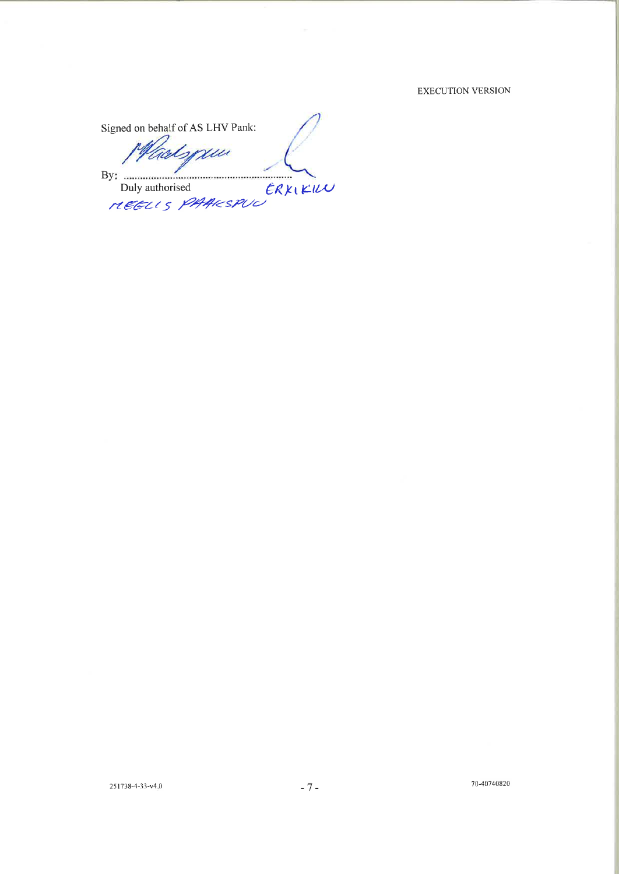#### EXECUTION VERSION

Signed on behalf of AS LHV Pank: spau By: Duly authorised ERXIKILU 

70-40740820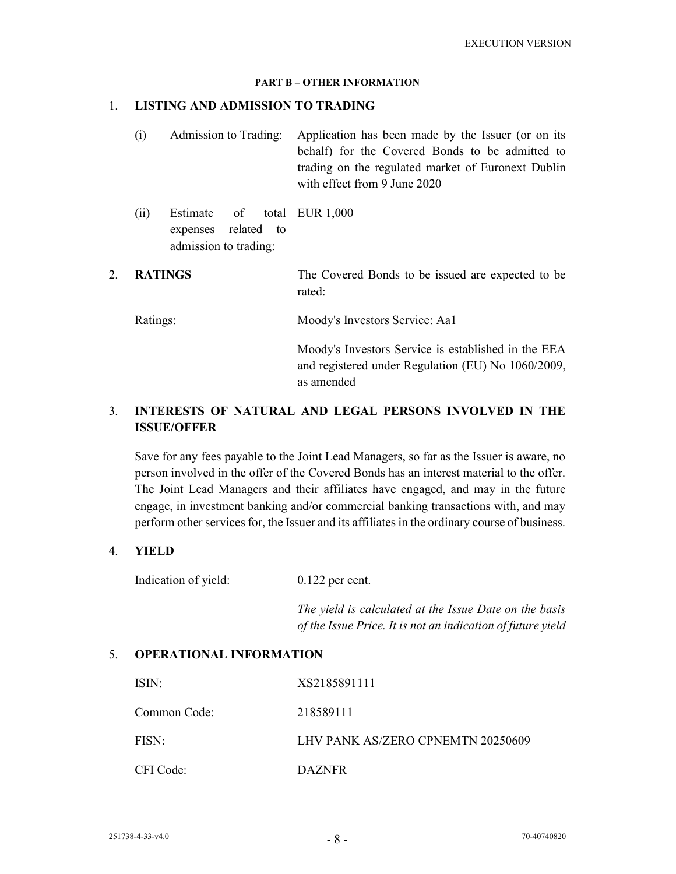#### PART B – OTHER INFORMATION

### 1. LISTING AND ADMISSION TO TRADING

- (i) Admission to Trading: Application has been made by the Issuer (or on its behalf) for the Covered Bonds to be admitted to trading on the regulated market of Euronext Dublin with effect from 9 June 2020
- $(ii)$  Estimate of expenses related to admission to trading: EUR 1,000
- 2. **RATINGS** The Covered Bonds to be issued are expected to be rated:

Ratings: Moody's Investors Service: Aa1

 Moody's Investors Service is established in the EEA and registered under Regulation (EU) No 1060/2009, as amended

# 3. INTERESTS OF NATURAL AND LEGAL PERSONS INVOLVED IN THE ISSUE/OFFER

 Save for any fees payable to the Joint Lead Managers, so far as the Issuer is aware, no person involved in the offer of the Covered Bonds has an interest material to the offer. The Joint Lead Managers and their affiliates have engaged, and may in the future engage, in investment banking and/or commercial banking transactions with, and may perform other services for, the Issuer and its affiliates in the ordinary course of business.

## 4. YIELD

Indication of yield: 0.122 per cent.

 The yield is calculated at the Issue Date on the basis of the Issue Price. It is not an indication of future yield

## 5. OPERATIONAL INFORMATION

| ISIN:        | XS2185891111                      |
|--------------|-----------------------------------|
| Common Code: | 218589111                         |
| FISN:        | LHV PANK AS/ZERO CPNEMTN 20250609 |
| CFI Code:    | <b>DAZNER</b>                     |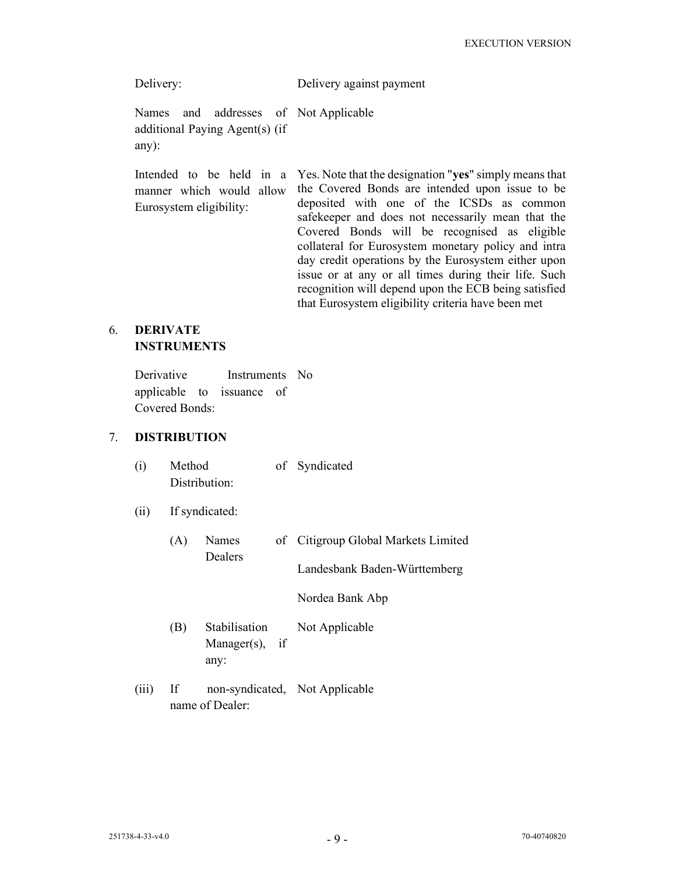| Delivery:                                  |  |  |  |  | Delivery against payment |                                                         |
|--------------------------------------------|--|--|--|--|--------------------------|---------------------------------------------------------|
| additional Paying Agent(s) (if<br>$any)$ : |  |  |  |  |                          | Names and addresses of Not-Applicable                   |
|                                            |  |  |  |  |                          | Intended to be held in a Yes. Note that the designation |

manner which would allow Eurosystem eligibility: "yes" simply means that the Covered Bonds are intended upon issue to be deposited with one of the ICSDs as common safekeeper and does not necessarily mean that the Covered Bonds will be recognised as eligible collateral for Eurosystem monetary policy and intra day credit operations by the Eurosystem either upon issue or at any or all times during their life. Such recognition will depend upon the ECB being satisfied that Eurosystem eligibility criteria have been met

## 6. DERIVATE **INSTRUMENTS**

 Derivative Instruments No applicable to issuance of Covered Bonds:

# 7. DISTRIBUTION

| (i)   | Method<br>Distribution: |                                             |  | of Syndicated                       |
|-------|-------------------------|---------------------------------------------|--|-------------------------------------|
| (ii)  | If syndicated:          |                                             |  |                                     |
|       | (A)                     | Names                                       |  | of Citigroup Global Markets Limited |
|       |                         | Dealers                                     |  | Landesbank Baden-Württemberg        |
|       |                         |                                             |  | Nordea Bank Abp                     |
|       | (B)                     | Stabilisation<br>Manager $(s)$ , if<br>any: |  | Not Applicable                      |
| (iii) | If                      | name of Dealer:                             |  | non-syndicated, Not Applicable      |